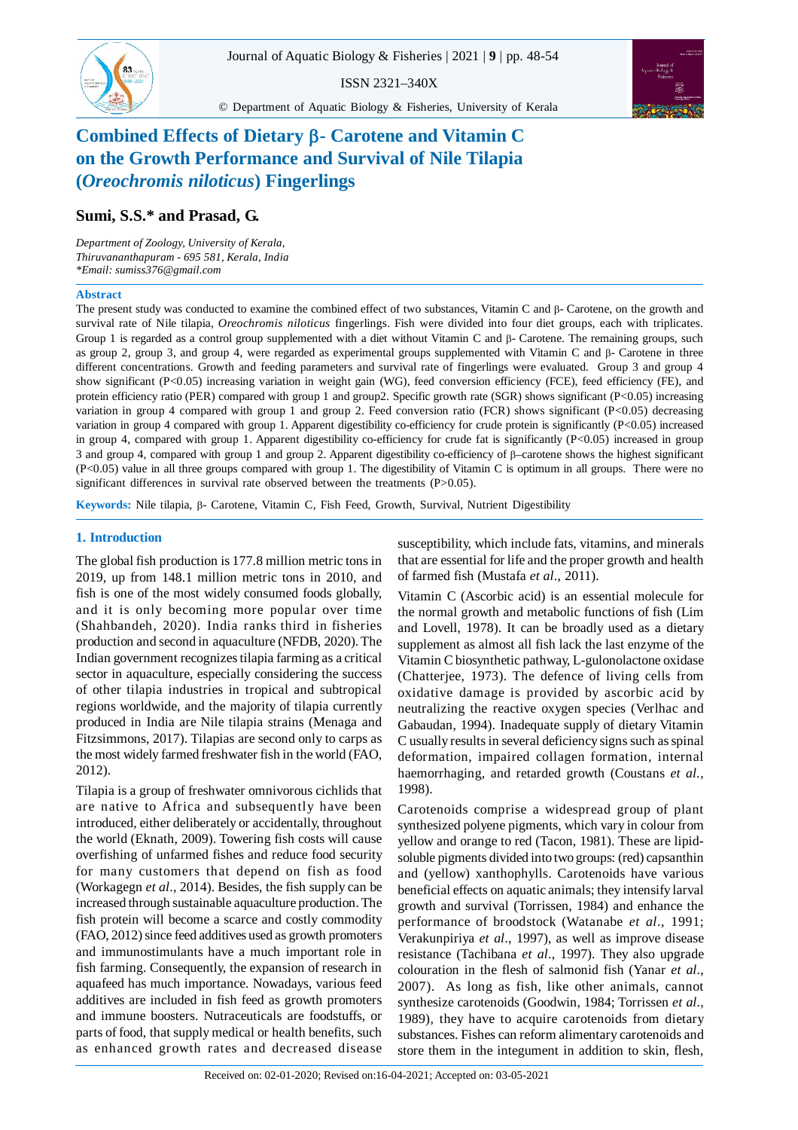ISSN 2321–340X



© Department of Aquatic Biology & Fisheries, University of Kerala

# **Combined Effects of Dietary - Carotene and Vitamin C on the Growth Performance and Survival of Nile Tilapia (***Oreochromis niloticus***) Fingerlings**

## **Sumi, S.S.\* and Prasad, G.**

*Department of Zoology, University of Kerala, Thiruvananthapuram - 695 581, Kerala, India \*Email: sumiss376@gmail.com*

## **Abstract**

The present study was conducted to examine the combined effect of two substances, Vitamin C and  $\beta$ - Carotene, on the growth and survival rate of Nile tilapia, *Oreochromis niloticus* fingerlings. Fish were divided into four diet groups, each with triplicates. Group 1 is regarded as a control group supplemented with a diet without Vitamin C and  $\beta$ - Carotene. The remaining groups, such as group 2, group 3, and group 4, were regarded as experimental groups supplemented with Vitamin C and  $\beta$ - Carotene in three different concentrations. Growth and feeding parameters and survival rate of fingerlings were evaluated. Group 3 and group 4 show significant (P<0.05) increasing variation in weight gain (WG), feed conversion efficiency (FCE), feed efficiency (FE), and protein efficiency ratio (PER) compared with group 1 and group2. Specific growth rate (SGR) shows significant (P<0.05) increasing variation in group 4 compared with group 1 and group 2. Feed conversion ratio (FCR) shows significant  $(P<0.05)$  decreasing variation in group 4 compared with group 1. Apparent digestibility co-efficiency for crude protein is significantly (P<0.05) increased in group 4, compared with group 1. Apparent digestibility co-efficiency for crude fat is significantly (P<0.05) increased in group 3 and group 4, compared with group 1 and group 2. Apparent digestibility co-efficiency of  $\beta$ -carotene shows the highest significant (P<0.05) value in all three groups compared with group 1. The digestibility of Vitamin C is optimum in all groups. There were no significant differences in survival rate observed between the treatments (P>0.05).

**Keywords:** Nile tilapia, β- Carotene, Vitamin C, Fish Feed, Growth, Survival, Nutrient Digestibility

## **1. Introduction**

The global fish production is 177.8 million metric tons in 2019, up from 148.1 million metric tons in 2010, and fish is one of the most widely consumed foods globally, and it is only becoming more popular over time (Shahbandeh, 2020). India ranks third in fisheries production and second in aquaculture (NFDB, 2020). The Indian government recognizes tilapia farming as a critical sector in aquaculture, especially considering the success of other tilapia industries in tropical and subtropical regions worldwide, and the majority of tilapia currently produced in India are Nile tilapia strains (Menaga and Fitzsimmons, 2017). Tilapias are second only to carps as the most widely farmed freshwater fish in the world (FAO, 2012).

Tilapia is a group of freshwater omnivorous cichlids that are native to Africa and subsequently have been introduced, either deliberately or accidentally, throughout the world (Eknath, 2009). Towering fish costs will cause overfishing of unfarmed fishes and reduce food security for many customers that depend on fish as food (Workagegn *et al*., 2014). Besides, the fish supply can be increased through sustainable aquaculture production. The fish protein will become a scarce and costly commodity (FAO, 2012) since feed additives used as growth promoters and immunostimulants have a much important role in fish farming. Consequently, the expansion of research in aquafeed has much importance. Nowadays, various feed additives are included in fish feed as growth promoters and immune boosters. Nutraceuticals are foodstuffs, or parts of food, that supply medical or health benefits, such as enhanced growth rates and decreased disease susceptibility, which include fats, vitamins, and minerals that are essential for life and the proper growth and health of farmed fish (Mustafa *et al*., 2011).

Vitamin C (Ascorbic acid) is an essential molecule for the normal growth and metabolic functions of fish (Lim and Lovell, 1978). It can be broadly used as a dietary supplement as almost all fish lack the last enzyme of the Vitamin C biosynthetic pathway, L-gulonolactone oxidase (Chatterjee, 1973). The defence of living cells from oxidative damage is provided by ascorbic acid by neutralizing the reactive oxygen species (Verlhac and Gabaudan, 1994). Inadequate supply of dietary Vitamin C usually results in several deficiency signs such as spinal deformation, impaired collagen formation, internal haemorrhaging, and retarded growth (Coustans *et al*., 1998).

Carotenoids comprise a widespread group of plant synthesized polyene pigments, which vary in colour from yellow and orange to red (Tacon, 1981). These are lipidsoluble pigments divided into two groups: (red) capsanthin and (yellow) xanthophylls. Carotenoids have various beneficial effects on aquatic animals; they intensify larval growth and survival (Torrissen, 1984) and enhance the performance of broodstock (Watanabe *et al*., 1991; Verakunpiriya *et al*., 1997), as well as improve disease resistance (Tachibana *et al*., 1997). They also upgrade colouration in the flesh of salmonid fish (Yanar *et al*., 2007). As long as fish, like other animals, cannot synthesize carotenoids (Goodwin, 1984; Torrissen *et al*., 1989), they have to acquire carotenoids from dietary substances. Fishes can reform alimentary carotenoids and store them in the integument in addition to skin, flesh,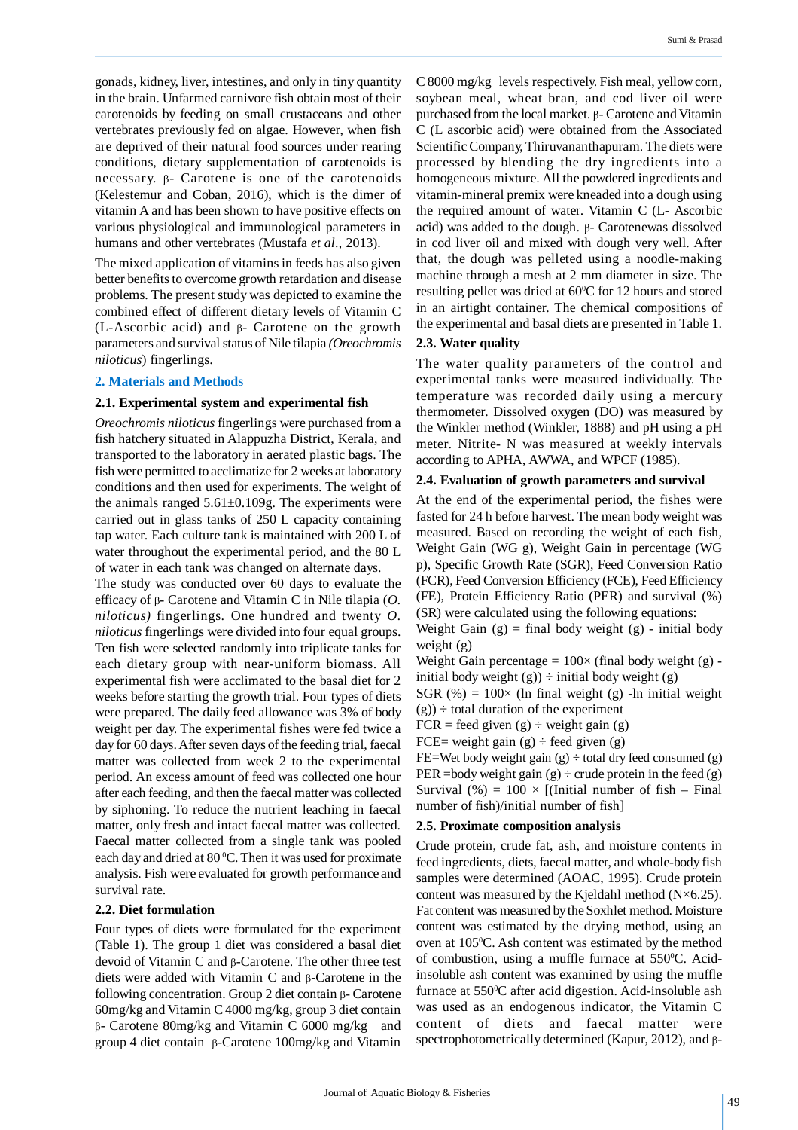gonads, kidney, liver, intestines, and only in tiny quantity in the brain. Unfarmed carnivore fish obtain most of their carotenoids by feeding on small crustaceans and other vertebrates previously fed on algae. However, when fish are deprived of their natural food sources under rearing conditions, dietary supplementation of carotenoids is necessary.  $\beta$ - Carotene is one of the carotenoids (Kelestemur and Coban, 2016), which is the dimer of vitamin A and has been shown to have positive effects on various physiological and immunological parameters in humans and other vertebrates (Mustafa *et al*., 2013).

The mixed application of vitamins in feeds has also given better benefits to overcome growth retardation and disease problems. The present study was depicted to examine the combined effect of different dietary levels of Vitamin C  $(L-Ascorbic acid)$  and  $\beta$ - Carotene on the growth parameters and survival status of Nile tilapia *(Oreochromis niloticus*) fingerlings.

## **2. Materials and Methods**

#### **2.1. Experimental system and experimental fish**

*Oreochromis niloticus* fingerlings were purchased from a fish hatchery situated in Alappuzha District, Kerala, and transported to the laboratory in aerated plastic bags. The fish were permitted to acclimatize for 2 weeks at laboratory conditions and then used for experiments. The weight of the animals ranged  $5.61\pm0.109$ g. The experiments were carried out in glass tanks of 250 L capacity containing tap water. Each culture tank is maintained with 200 L of water throughout the experimental period, and the 80 L of water in each tank was changed on alternate days.

The study was conducted over 60 days to evaluate the efficacy of β- Carotene and Vitamin C in Nile tilapia (*O*. *niloticus)* fingerlings. One hundred and twenty *O. niloticus* fingerlings were divided into four equal groups. Ten fish were selected randomly into triplicate tanks for each dietary group with near-uniform biomass. All experimental fish were acclimated to the basal diet for 2 weeks before starting the growth trial. Four types of diets were prepared. The daily feed allowance was 3% of body weight per day. The experimental fishes were fed twice a day for 60 days. After seven days of the feeding trial, faecal matter was collected from week 2 to the experimental period. An excess amount of feed was collected one hour after each feeding, and then the faecal matter was collected by siphoning. To reduce the nutrient leaching in faecal matter, only fresh and intact faecal matter was collected. Faecal matter collected from a single tank was pooled each day and dried at 80 °C. Then it was used for proximate analysis. Fish were evaluated for growth performance and survival rate.

## **2.2. Diet formulation**

Four types of diets were formulated for the experiment (Table 1). The group 1 diet was considered a basal diet devoid of Vitamin C and  $\beta$ -Carotene. The other three test diets were added with Vitamin C and  $\beta$ -Carotene in the following concentration. Group 2 diet contain  $\beta$ - Carotene 60mg/kg and Vitamin C 4000 mg/kg, group 3 diet contain  $\beta$ - Carotene 80mg/kg and Vitamin C 6000 mg/kg and group 4 diet contain  $\beta$ -Carotene 100mg/kg and Vitamin C 8000 mg/kg levels respectively. Fish meal, yellow corn, soybean meal, wheat bran, and cod liver oil were purchased from the local market.  $\beta$ - Carotene and Vitamin C (L ascorbic acid) were obtained from the Associated Scientific Company, Thiruvananthapuram. The diets were processed by blending the dry ingredients into a homogeneous mixture. All the powdered ingredients and vitamin-mineral premix were kneaded into a dough using the required amount of water. Vitamin C (L- Ascorbic acid) was added to the dough.  $\beta$ - Carotenewas dissolved in cod liver oil and mixed with dough very well. After that, the dough was pelleted using a noodle-making machine through a mesh at 2 mm diameter in size. The resulting pellet was dried at 60°C for 12 hours and stored in an airtight container. The chemical compositions of the experimental and basal diets are presented in Table 1.

#### **2.3. Water quality**

The water quality parameters of the control and experimental tanks were measured individually. The temperature was recorded daily using a mercury thermometer. Dissolved oxygen (DO) was measured by the Winkler method (Winkler, 1888) and pH using a pH meter. Nitrite- N was measured at weekly intervals according to APHA, AWWA, and WPCF (1985).

#### **2.4. Evaluation of growth parameters and survival**

At the end of the experimental period, the fishes were fasted for 24 h before harvest. The mean body weight was measured. Based on recording the weight of each fish, Weight Gain (WG g), Weight Gain in percentage (WG p), Specific Growth Rate (SGR), Feed Conversion Ratio (FCR), Feed Conversion Efficiency (FCE), Feed Efficiency (FE), Protein Efficiency Ratio (PER) and survival (%) (SR) were calculated using the following equations:

Weight Gain  $(g)$  = final body weight  $(g)$  - initial body weight (g)

Weight Gain percentage  $= 100 \times$  (final body weight (g) initial body weight  $(g)$  ÷ initial body weight  $(g)$ 

SGR (%) =  $100 \times$  (ln final weight (g) -ln initial weight  $(g)$  ÷ total duration of the experiment

 $FCR = feed$  given  $(g) \div weight$  gain  $(g)$ 

FCE= weight gain  $(g) \div$  feed given  $(g)$ 

FE=Wet body weight gain  $(g) \div$  total dry feed consumed  $(g)$ PER = body weight gain (g)  $\div$  crude protein in the feed (g) Survival (%) =  $100 \times$  [(Initial number of fish – Final number of fish)/initial number of fish]

#### **2.5. Proximate composition analysis**

Crude protein, crude fat, ash, and moisture contents in feed ingredients, diets, faecal matter, and whole-body fish samples were determined (AOAC, 1995). Crude protein content was measured by the Kjeldahl method (N×6.25). Fat content was measured by the Soxhlet method. Moisture content was estimated by the drying method, using an oven at 105<sup>0</sup>C. Ash content was estimated by the method of combustion, using a muffle furnace at 550°C. Acidinsoluble ash content was examined by using the muffle furnace at 550°C after acid digestion. Acid-insoluble ash was used as an endogenous indicator, the Vitamin C content of diets and faecal matter were spectrophotometrically determined (Kapur, 2012), and  $\beta$ -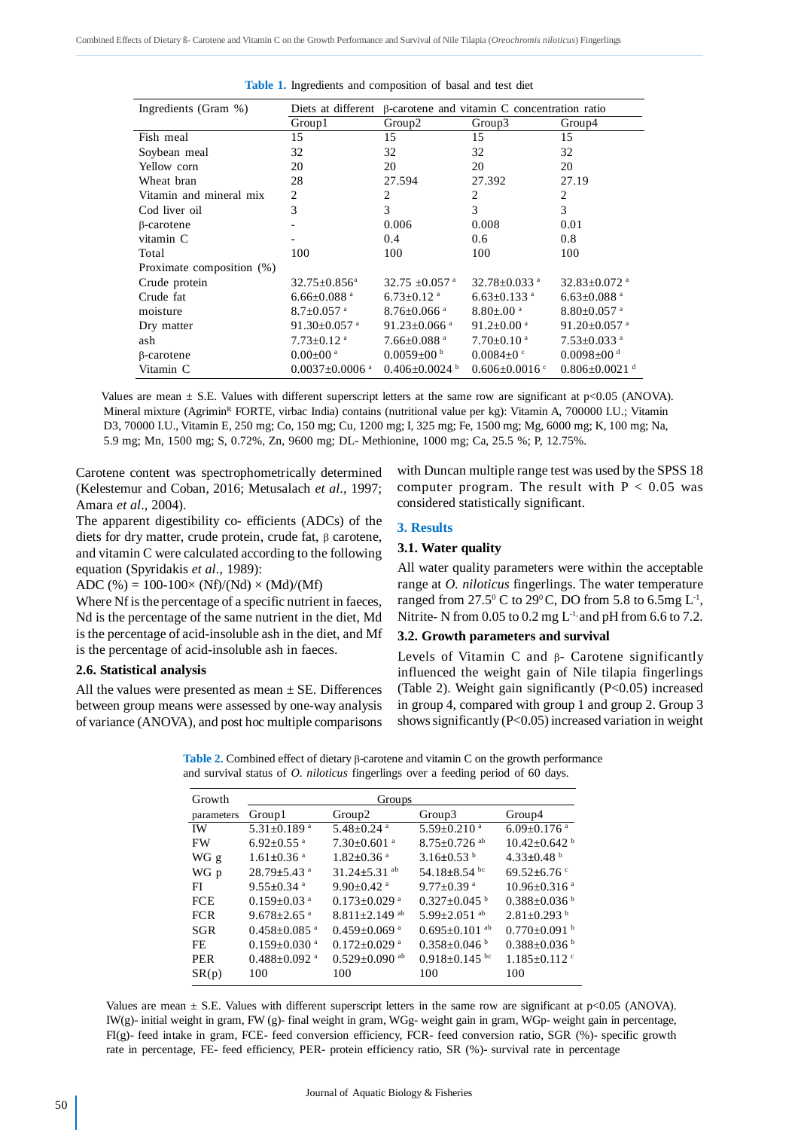| Ingredients (Gram %)      |                                  | Diets at different B-carotene and vitamin C concentration ratio |                                |                                 |  |
|---------------------------|----------------------------------|-----------------------------------------------------------------|--------------------------------|---------------------------------|--|
|                           | Group1                           | Group <sub>2</sub>                                              | Group3                         | Group4                          |  |
| Fish meal                 | 15                               | 15                                                              | 15                             | 15                              |  |
| Soybean meal              | 32                               | 32                                                              | 32                             | 32                              |  |
| Yellow corn               | 20                               | 20                                                              | 20                             | 20                              |  |
| Wheat bran                | 28                               | 27.594                                                          | 27.392                         | 27.19                           |  |
| Vitamin and mineral mix   | $\overline{c}$                   | 2                                                               | 2                              | 2                               |  |
| Cod liver oil             | 3                                | 3                                                               | 3                              | 3                               |  |
| $\beta$ -carotene         |                                  | 0.006                                                           | 0.008                          | 0.01                            |  |
| vitamin C                 |                                  | 0.4                                                             | 0.6                            | 0.8                             |  |
| Total                     | 100                              | 100                                                             | 100                            | 100                             |  |
| Proximate composition (%) |                                  |                                                                 |                                |                                 |  |
| Crude protein             | $32.75 \pm 0.856^a$              | 32.75 $\pm$ 0.057 a                                             | 32.78 $\pm$ 0.033 $\mathrm{a}$ | $32.83 \pm 0.072$ <sup>a</sup>  |  |
| Crude fat                 | 6.66 $\pm$ 0.088 $^{\circ}$      | $6.73 \pm 0.12$ <sup>a</sup>                                    | $6.63 \pm 0.133$ <sup>a</sup>  | $6.63 \pm 0.088$ <sup>a</sup>   |  |
| moisture                  | $8.7 \pm 0.057$ <sup>a</sup>     | $8.76 \pm 0.066$ <sup>a</sup>                                   | $8.80 \pm 0.00$ <sup>a</sup>   | $8.80 \pm 0.057$ <sup>a</sup>   |  |
| Dry matter                | 91.30 $\pm$ 0.057 $\mathrm{^a}$  | 91.23 $\pm$ 0.066 $^{\circ}$                                    | $91.2 \pm 0.00$ <sup>a</sup>   | 91.20 $\pm$ 0.057 $^{\circ}$    |  |
| ash                       | $7.73 \pm 0.12$ <sup>a</sup>     | $7.66 \pm 0.088$ <sup>a</sup>                                   | $7.70 \pm 0.10$ <sup>a</sup>   | $7.53 \pm 0.033$ <sup>a</sup>   |  |
| $\beta$ -carotene         | $0.00 \pm 00$ <sup>a</sup>       | $0.0059 \pm 00^{b}$                                             | $0.0084 \pm 0$ c               | $0.0098 \pm 00$ <sup>d</sup>    |  |
| Vitamin C                 | $0.0037 \pm 0.0006$ <sup>a</sup> | $0.406 \pm 0.0024$                                              | $0.606 \pm 0.0016$ c           | $0.806 \pm 0.0021$ <sup>d</sup> |  |

|  | Table 1. Ingredients and composition of basal and test diet |  |  |  |
|--|-------------------------------------------------------------|--|--|--|
|  |                                                             |  |  |  |

Values are mean  $\pm$  S.E. Values with different superscript letters at the same row are significant at p<0.05 (ANOVA). Mineral mixture (Agrimin<sup>R</sup> FORTE, virbac India) contains (nutritional value per kg): Vitamin A, 700000 I.U.; Vitamin D3, 70000 I.U., Vitamin E, 250 mg; Co, 150 mg; Cu, 1200 mg; I, 325 mg; Fe, 1500 mg; Mg, 6000 mg; K, 100 mg; Na, 5.9 mg; Mn, 1500 mg; S, 0.72%, Zn, 9600 mg; DL- Methionine, 1000 mg; Ca, 25.5 %; P, 12.75%.

Carotene content was spectrophometrically determined (Kelestemur and Coban, 2016; Metusalach *et al*., 1997; Amara *et al*., 2004).

The apparent digestibility co- efficients (ADCs) of the diets for dry matter, crude protein, crude fat,  $\beta$  carotene, and vitamin C were calculated according to the following equation (Spyridakis *et al*., 1989):

ADC (%) =  $100-100 \times (Nf)/(Nd) \times (Md)/(Mf)$ 

Where Nf is the percentage of a specific nutrient in faeces, Nd is the percentage of the same nutrient in the diet, Md is the percentage of acid-insoluble ash in the diet, and Mf is the percentage of acid-insoluble ash in faeces.

## **2.6. Statistical analysis**

All the values were presented as mean  $\pm$  SE. Differences between group means were assessed by one-way analysis of variance (ANOVA), and post hoc multiple comparisons with Duncan multiple range test was used by the SPSS 18 computer program. The result with  $P < 0.05$  was considered statistically significant.

## **3. Results**

## **3.1. Water quality**

All water quality parameters were within the acceptable range at *O. niloticus* fingerlings. The water temperature ranged from 27.5° C to 29°C, DO from 5.8 to 6.5mg  $\mathrm{L}^{\text{-}1}$ , Nitrite- N from  $0.05$  to  $0.2$  mg  $L^{-1}$ , and pH from 6.6 to 7.2.

## **3.2. Growth parameters and survival**

Levels of Vitamin C and  $\beta$ - Carotene significantly influenced the weight gain of Nile tilapia fingerlings (Table 2). Weight gain significantly (P<0.05) increased in group 4, compared with group 1 and group 2. Group 3 shows significantly (P<0.05) increased variation in weight

**Table 2.** Combined effect of dietary  $\beta$ -carotene and vitamin C on the growth performance and survival status of *O. niloticus* fingerlings over a feeding period of 60 days.

| Growth     | Groups                         |                                 |                                 |                                |  |  |
|------------|--------------------------------|---------------------------------|---------------------------------|--------------------------------|--|--|
| parameters | Group1                         | Group <sub>2</sub>              | Group3                          | Group4                         |  |  |
| <b>IW</b>  | $5.31 \pm 0.189$ <sup>a</sup>  | 5.48 $\pm$ 0.24 $a$             | $5.59 \pm 0.210$ <sup>a</sup>   | $6.09 \pm 0.176$ <sup>a</sup>  |  |  |
| <b>FW</b>  | $6.92 + 0.55$ <sup>a</sup>     | $7.30\pm0.601$ <sup>a</sup>     | $8.75 + 0.726$ <sup>ab</sup>    | $10.42 + 0.642$ <sup>b</sup>   |  |  |
| WG g       | $1.61 \pm 0.36$ <sup>a</sup>   | $1.82 \pm 0.36$ <sup>a</sup>    | 3.16 $\pm$ 0.53 <sup>b</sup>    | 4.33 $\pm$ 0.48 $^{\rm b}$     |  |  |
| WG p       | $28.79 \pm 5.43$ <sup>a</sup>  | 31.24 $\pm$ 5.31 <sup>ab</sup>  | 54.18 $\pm$ 8.54 bc             | 69.52 $\pm$ 6.76 $\degree$     |  |  |
| FI         | $9.55 \pm 0.34$ <sup>a</sup>   | $9.90 \pm 0.42$ <sup>a</sup>    | $9.77 \pm 0.39$ <sup>a</sup>    | $10.96 \pm 0.316$ <sup>a</sup> |  |  |
| <b>FCE</b> | $0.159 \pm 0.03$ <sup>a</sup>  | $0.173 \pm 0.029$ <sup>a</sup>  | $0.327 + 0.045$ <sup>b</sup>    | $0.388 \pm 0.036$ b            |  |  |
| <b>FCR</b> | $9.678 \pm 2.65$ <sup>a</sup>  | $8.811 \pm 2.149$ <sup>ab</sup> | $5.99 + 2.051$ <sup>ab</sup>    | $2.81 + 0.293$ <sup>b</sup>    |  |  |
| <b>SGR</b> | $0.458 \pm 0.085$ <sup>a</sup> | $0.459 \pm 0.069$ <sup>a</sup>  | $0.695 \pm 0.101$ <sup>ab</sup> | $0.770 \pm 0.091$ b            |  |  |
| FE.        | $0.159 \pm 0.030$ <sup>a</sup> | $0.172 \pm 0.029$ <sup>a</sup>  | $0.358 \pm 0.046$ b             | $0.388 \pm 0.036$ b            |  |  |
| <b>PER</b> | $0.488 \pm 0.092$ <sup>a</sup> | $0.529 \pm 0.090$ <sup>ab</sup> | $0.918 + 0.145$ bc              | $1.185 \pm 0.112$ <sup>c</sup> |  |  |
| SR(p)      | 100                            | 100                             | 100                             | 100                            |  |  |

Values are mean  $\pm$  S.E. Values with different superscript letters in the same row are significant at p<0.05 (ANOVA). IW(g)- initial weight in gram, FW (g)- final weight in gram, WGg- weight gain in gram, WGp- weight gain in percentage, FI(g)- feed intake in gram, FCE- feed conversion efficiency, FCR- feed conversion ratio, SGR (%)- specific growth rate in percentage, FE- feed efficiency, PER- protein efficiency ratio, SR (%)- survival rate in percentage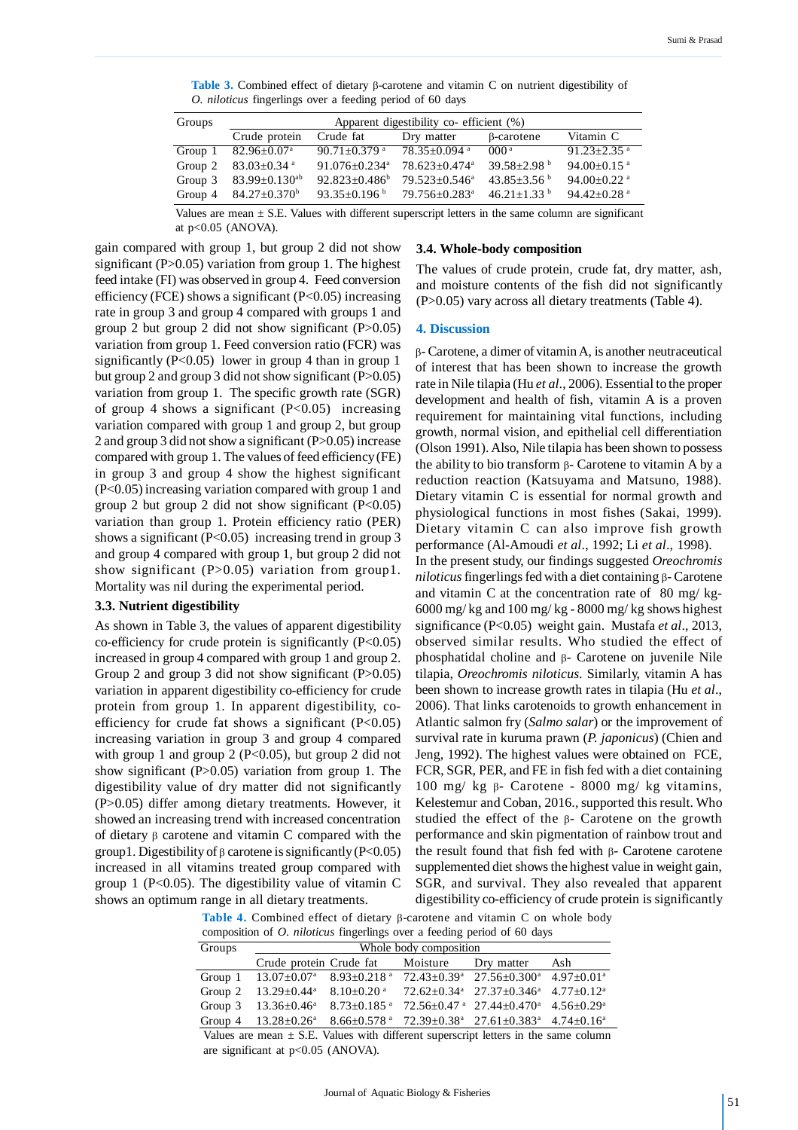**Table 3.** Combined effect of dietary B-carotene and vitamin C on nutrient digestibility of *O. niloticus* fingerlings over a feeding period of 60 days

| Groups  | Apparent digestibility co- efficient (%) |                                |                                |                             |                             |  |  |
|---------|------------------------------------------|--------------------------------|--------------------------------|-----------------------------|-----------------------------|--|--|
|         | Crude protein                            | Crude fat                      | Dry matter                     | β-carotene                  | Vitamin C                   |  |  |
| Group 1 | $82.96 \pm 0.07$ <sup>a</sup>            | $90.71 \pm 0.379$ <sup>a</sup> | $78.35 \pm 0.094$ <sup>a</sup> | 000 <sup>a</sup>            | $91.23 + 2.35$ <sup>a</sup> |  |  |
| Group 2 | $83.03 \pm 0.34$ a                       | $91.076 + 0.234$ <sup>a</sup>  | $78.623 + 0.474$ <sup>a</sup>  | 39.58+2.98 $^{\rm b}$       | $94.00 \pm 0.15$ a          |  |  |
| Group 3 | $83.99 \pm 0.130^{ab}$                   | $92.823 \pm 0.486^b$           | $79.523 + 0.546^a$             | $43.85 + 3.56$ b            | $94.00 \pm 0.22$ a          |  |  |
| Group 4 | $84.27 \pm 0.370^{\circ}$                | 93.35 $\pm$ 0.196 <sup>b</sup> | 79.756±0.283 <sup>a</sup>      | $46.21 + 1.33$ <sup>b</sup> | 94.42 $\pm$ 0.28 $^{\rm a}$ |  |  |

Values are mean  $\pm$  S.E. Values with different superscript letters in the same column are significant at p<0.05 (ANOVA).

gain compared with group 1, but group 2 did not show significant (P>0.05) variation from group 1. The highest feed intake (FI) was observed in group 4. Feed conversion efficiency (FCE) shows a significant ( $P<0.05$ ) increasing rate in group 3 and group 4 compared with groups 1 and group 2 but group 2 did not show significant (P>0.05) variation from group 1. Feed conversion ratio (FCR) was significantly  $(P<0.05)$  lower in group 4 than in group 1 but group 2 and group 3 did not show significant (P>0.05) variation from group 1. The specific growth rate (SGR) of group 4 shows a significant  $(P<0.05)$  increasing variation compared with group 1 and group 2, but group 2 and group 3 did not show a significant (P>0.05) increase compared with group 1. The values of feed efficiency (FE) in group 3 and group 4 show the highest significant (P<0.05) increasing variation compared with group 1 and group 2 but group 2 did not show significant  $(P<0.05)$ variation than group 1. Protein efficiency ratio (PER) shows a significant  $(P<0.05)$  increasing trend in group 3 and group 4 compared with group 1, but group 2 did not show significant (P>0.05) variation from group1. Mortality was nil during the experimental period.

#### **3.3. Nutrient digestibility**

As shown in Table 3, the values of apparent digestibility co-efficiency for crude protein is significantly  $(P<0.05)$ increased in group 4 compared with group 1 and group 2. Group 2 and group 3 did not show significant (P>0.05) variation in apparent digestibility co-efficiency for crude protein from group 1. In apparent digestibility, coefficiency for crude fat shows a significant  $(P<0.05)$ increasing variation in group 3 and group 4 compared with group 1 and group 2 ( $P<0.05$ ), but group 2 did not show significant  $(P>0.05)$  variation from group 1. The digestibility value of dry matter did not significantly (P>0.05) differ among dietary treatments. However, it showed an increasing trend with increased concentration of dietary  $\beta$  carotene and vitamin C compared with the group1. Digestibility of  $\beta$  carotene is significantly (P<0.05) increased in all vitamins treated group compared with group 1 ( $P<0.05$ ). The digestibility value of vitamin C shows an optimum range in all dietary treatments.

#### **3.4. Whole-body composition**

The values of crude protein, crude fat, dry matter, ash, and moisture contents of the fish did not significantly (P>0.05) vary across all dietary treatments (Table 4).

#### **4. Discussion**

 $\beta$ - Carotene, a dimer of vitamin A, is another neutraceutical of interest that has been shown to increase the growth rate in Nile tilapia (Hu *et al*., 2006). Essential to the proper development and health of fish, vitamin A is a proven requirement for maintaining vital functions, including growth, normal vision, and epithelial cell differentiation (Olson 1991). Also, Nile tilapia has been shown to possess the ability to bio transform  $\beta$ - Carotene to vitamin A by a reduction reaction (Katsuyama and Matsuno, 1988). Dietary vitamin C is essential for normal growth and physiological functions in most fishes (Sakai, 1999). Dietary vitamin C can also improve fish growth performance (Al-Amoudi *et al*., 1992; Li *et al*., 1998). In the present study, our findings suggested *Oreochromis*  $niloticus$  fingerlings fed with a diet containing  $\beta$ - Carotene and vitamin C at the concentration rate of 80 mg/ kg- $6000$  mg/kg and  $100$  mg/kg -  $8000$  mg/kg shows highest significance (P<0.05) weight gain. Mustafa *et al*., 2013, observed similar results. Who studied the effect of phosphatidal choline and  $\beta$ - Carotene on juvenile Nile tilapia, *Oreochromis niloticus*. Similarly, vitamin A has been shown to increase growth rates in tilapia (Hu *et al*., 2006). That links carotenoids to growth enhancement in Atlantic salmon fry (*Salmo salar*) or the improvement of survival rate in kuruma prawn (*P. japonicus*) (Chien and Jeng, 1992). The highest values were obtained on FCE, FCR, SGR, PER, and FE in fish fed with a diet containing 100 mg/ kg  $\beta$ - Carotene - 8000 mg/ kg vitamins, Kelestemur and Coban, 2016., supported this result. Who studied the effect of the  $\beta$ - Carotene on the growth performance and skin pigmentation of rainbow trout and the result found that fish fed with  $\beta$ - Carotene carotene supplemented diet shows the highest value in weight gain, SGR, and survival. They also revealed that apparent digestibility co-efficiency of crude protein is significantly

Table 4. Combined effect of dietary  $\beta$ -carotene and vitamin C on whole body composition of *O. niloticus* fingerlings over a feeding period of 60 days

| Groups | Whole body composition                      |  |  |                                                                                                                                                               |     |  |  |  |
|--------|---------------------------------------------|--|--|---------------------------------------------------------------------------------------------------------------------------------------------------------------|-----|--|--|--|
|        | Crude protein Crude fat Moisture Dry matter |  |  |                                                                                                                                                               | Ash |  |  |  |
|        |                                             |  |  | Group 1 $13.07\pm0.07^{\circ}$ $8.93\pm0.218^{\circ}$ $72.43\pm0.39^{\circ}$ $27.56\pm0.300^{\circ}$ $4.97\pm0.01^{\circ}$                                    |     |  |  |  |
|        |                                             |  |  | Group 2 $13.29 \pm 0.44$ <sup>a</sup> $8.10 \pm 0.20$ <sup>a</sup> $72.62 \pm 0.34$ <sup>a</sup> $27.37 \pm 0.346$ <sup>a</sup> $4.77 \pm 0.12$ <sup>a</sup>  |     |  |  |  |
|        |                                             |  |  | Group 3 13.36±0.46 <sup>a</sup> 8.73±0.185 <sup>a</sup> 72.56±0.47 <sup>a</sup> 27.44±0.470 <sup>a</sup> 4.56±0.29 <sup>a</sup>                               |     |  |  |  |
|        |                                             |  |  | Group 4 13.28 $\pm$ 0.26 <sup>a</sup> 8.66 $\pm$ 0.578 <sup>a</sup> 72.39 $\pm$ 0.38 <sup>a</sup> 27.61 $\pm$ 0.383 <sup>a</sup> 4.74 $\pm$ 0.16 <sup>a</sup> |     |  |  |  |

Values are mean  $\pm$  S.E. Values with different superscript letters in the same column are significant at p<0.05 (ANOVA).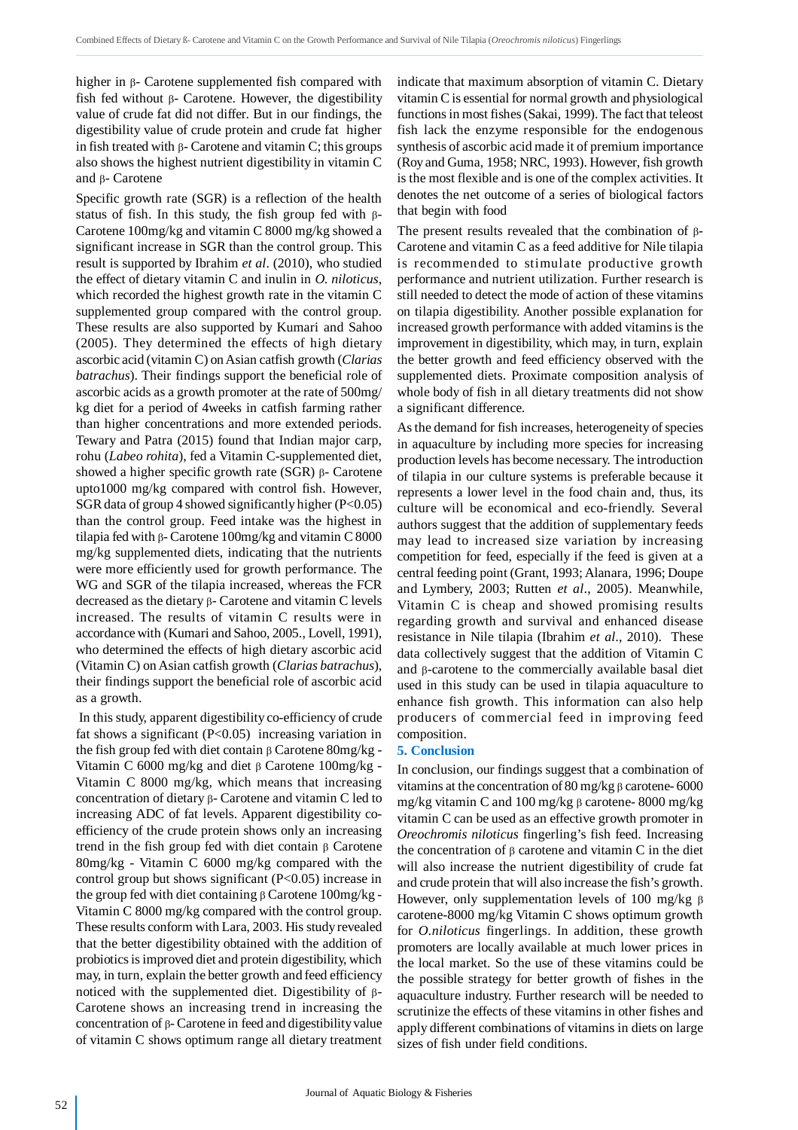higher in  $\beta$ - Carotene supplemented fish compared with fish fed without  $\beta$ - Carotene. However, the digestibility value of crude fat did not differ. But in our findings, the digestibility value of crude protein and crude fat higher in fish treated with  $\beta$ - Carotene and vitamin C; this groups also shows the highest nutrient digestibility in vitamin C and  $\beta$ - Carotene

Specific growth rate (SGR) is a reflection of the health status of fish. In this study, the fish group fed with  $\beta$ -Carotene 100mg/kg and vitamin C 8000 mg/kg showed a significant increase in SGR than the control group. This result is supported by Ibrahim *et al*. (2010), who studied the effect of dietary vitamin C and inulin in *O. niloticus*, which recorded the highest growth rate in the vitamin C supplemented group compared with the control group. These results are also supported by Kumari and Sahoo (2005). They determined the effects of high dietary ascorbic acid (vitamin C) on Asian catfish growth (*Clarias batrachus*). Their findings support the beneficial role of ascorbic acids as a growth promoter at the rate of 500mg/ kg diet for a period of 4weeks in catfish farming rather than higher concentrations and more extended periods. Tewary and Patra (2015) found that Indian major carp, rohu (*Labeo rohita*), fed a Vitamin C-supplemented diet, showed a higher specific growth rate  $(SGR)$   $\beta$ - Carotene upto1000 mg/kg compared with control fish. However, SGR data of group 4 showed significantly higher  $(P<0.05)$ than the control group. Feed intake was the highest in tilapia fed with  $\beta$ - Carotene 100mg/kg and vitamin C 8000 mg/kg supplemented diets, indicating that the nutrients were more efficiently used for growth performance. The WG and SGR of the tilapia increased, whereas the FCR decreased as the dietary  $\beta$ - Carotene and vitamin C levels increased. The results of vitamin C results were in accordance with (Kumari and Sahoo, 2005., Lovell, 1991), who determined the effects of high dietary ascorbic acid (Vitamin C) on Asian catfish growth (*Clarias batrachus*), their findings support the beneficial role of ascorbic acid as a growth.

 In this study, apparent digestibility co-efficiency of crude fat shows a significant  $(P<0.05)$  increasing variation in the fish group fed with diet contain  $\beta$  Carotene 80mg/kg -Vitamin C 6000 mg/kg and diet  $\beta$  Carotene 100mg/kg -Vitamin C 8000 mg/kg, which means that increasing concentration of dietary  $\beta$ - Carotene and vitamin C led to increasing ADC of fat levels. Apparent digestibility coefficiency of the crude protein shows only an increasing trend in the fish group fed with diet contain  $\beta$  Carotene 80mg/kg - Vitamin C 6000 mg/kg compared with the control group but shows significant  $(P<0.05)$  increase in the group fed with diet containing  $\beta$  Carotene 100mg/kg -Vitamin C 8000 mg/kg compared with the control group. These results conform with Lara, 2003. His study revealed that the better digestibility obtained with the addition of probiotics is improved diet and protein digestibility, which may, in turn, explain the better growth and feed efficiency noticed with the supplemented diet. Digestibility of  $\beta$ -Carotene shows an increasing trend in increasing the concentration of  $\beta$ - Carotene in feed and digestibility value of vitamin C shows optimum range all dietary treatment indicate that maximum absorption of vitamin C. Dietary vitamin C is essential for normal growth and physiological functions in most fishes (Sakai, 1999). The fact that teleost fish lack the enzyme responsible for the endogenous synthesis of ascorbic acid made it of premium importance (Roy and Guma, 1958; NRC, 1993). However, fish growth is the most flexible and is one of the complex activities. It denotes the net outcome of a series of biological factors that begin with food

The present results revealed that the combination of  $\beta$ -Carotene and vitamin C as a feed additive for Nile tilapia is recommended to stimulate productive growth performance and nutrient utilization. Further research is still needed to detect the mode of action of these vitamins on tilapia digestibility. Another possible explanation for increased growth performance with added vitamins is the improvement in digestibility, which may, in turn, explain the better growth and feed efficiency observed with the supplemented diets. Proximate composition analysis of whole body of fish in all dietary treatments did not show a significant difference.

As the demand for fish increases, heterogeneity of species in aquaculture by including more species for increasing production levels has become necessary. The introduction of tilapia in our culture systems is preferable because it represents a lower level in the food chain and, thus, its culture will be economical and eco-friendly. Several authors suggest that the addition of supplementary feeds may lead to increased size variation by increasing competition for feed, especially if the feed is given at a central feeding point (Grant, 1993; Alanara, 1996; Doupe and Lymbery, 2003; Rutten *et al*., 2005). Meanwhile, Vitamin C is cheap and showed promising results regarding growth and survival and enhanced disease resistance in Nile tilapia (Ibrahim *et al*., 2010). These data collectively suggest that the addition of Vitamin C and  $\beta$ -carotene to the commercially available basal diet used in this study can be used in tilapia aquaculture to enhance fish growth. This information can also help producers of commercial feed in improving feed composition.

#### **5. Conclusion**

In conclusion, our findings suggest that a combination of vitamins at the concentration of 80 mg/kg  $\beta$  carotene- 6000 mg/kg vitamin C and 100 mg/kg  $\beta$  carotene- 8000 mg/kg vitamin C can be used as an effective growth promoter in *Oreochromis niloticus* fingerling's fish feed. Increasing the concentration of  $\beta$  carotene and vitamin C in the diet will also increase the nutrient digestibility of crude fat and crude protein that will also increase the fish's growth. However, only supplementation levels of 100 mg/kg  $\beta$ carotene-8000 mg/kg Vitamin C shows optimum growth for *O.niloticus* fingerlings. In addition, these growth promoters are locally available at much lower prices in the local market. So the use of these vitamins could be the possible strategy for better growth of fishes in the aquaculture industry. Further research will be needed to scrutinize the effects of these vitamins in other fishes and apply different combinations of vitamins in diets on large sizes of fish under field conditions.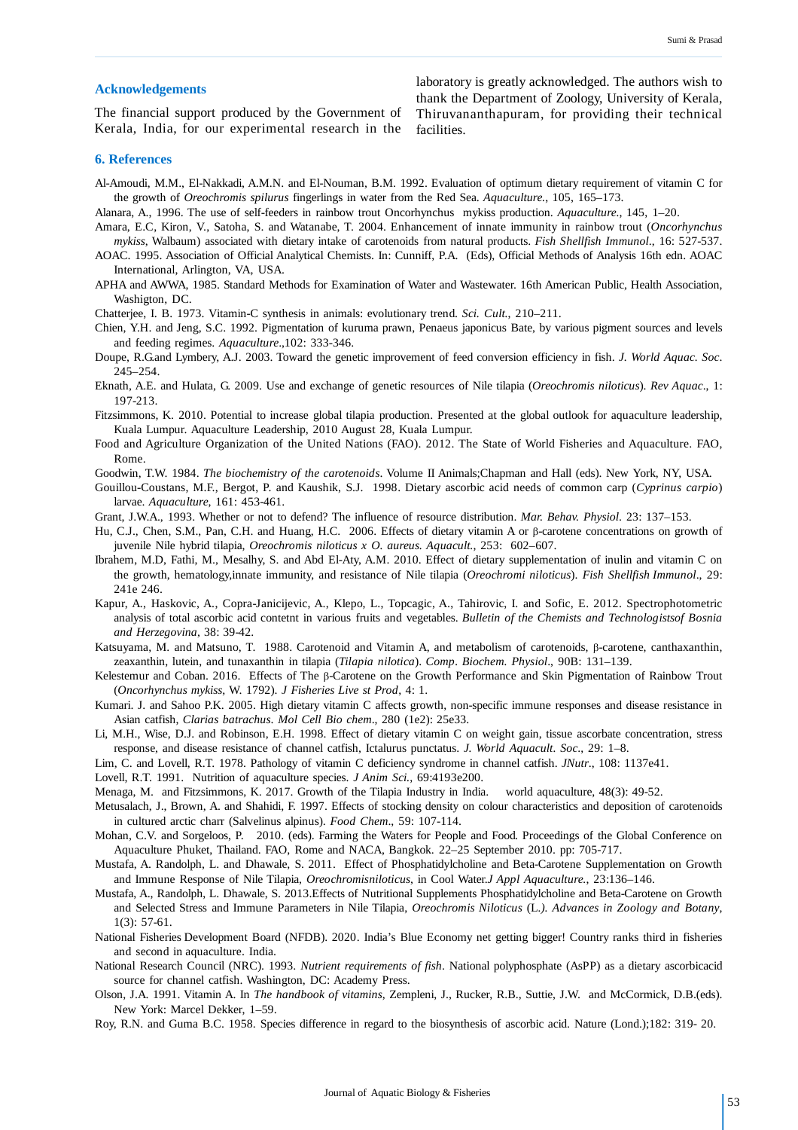#### **Acknowledgements**

The financial support produced by the Government of Kerala, India, for our experimental research in the

laboratory is greatly acknowledged. The authors wish to thank the Department of Zoology, University of Kerala, Thiruvananthapuram, for providing their technical facilities.

#### **6. References**

- Al-Amoudi, M.M., El-Nakkadi, A.M.N. and El-Nouman, B.M. 1992. Evaluation of optimum dietary requirement of vitamin C for the growth of *Oreochromis spilurus* fingerlings in water from the Red Sea. *Aquaculture.*, 105, 165–173.
- Alanara, A., 1996. The use of self-feeders in rainbow trout Oncorhynchus mykiss production. *Aquaculture.,* 145, 1–20.
- Amara, E.C, Kiron, V., Satoha, S. and Watanabe, T. 2004. Enhancement of innate immunity in rainbow trout (*Oncorhynchus*
- *mykiss*, Walbaum) associated with dietary intake of carotenoids from natural products. *Fish Shellfish Immunol*., 16: 527-537. AOAC. 1995. Association of Official Analytical Chemists. In: Cunniff, P.A. (Eds), Official Methods of Analysis 16th edn. AOAC International, Arlington, VA, USA.
- APHA and AWWA, 1985. Standard Methods for Examination of Water and Wastewater. 16th American Public, Health Association, Washigton, DC.
- Chatterjee, I. B. 1973. Vitamin-C synthesis in animals: evolutionary trend. *Sci. Cult.*, 210–211.
- Chien, Y.H. and Jeng, S.C. 1992. Pigmentation of kuruma prawn, Penaeus japonicus Bate, by various pigment sources and levels and feeding regimes. *Aquaculture*.,102: 333-346.
- Doupe, R.G.and Lymbery, A.J. 2003. Toward the genetic improvement of feed conversion efficiency in fish. *J. World Aquac. Soc*. 245–254.
- Eknath, A.E. and Hulata, G. 2009. Use and exchange of genetic resources of Nile tilapia (*Oreochromis niloticus*). *Rev Aquac*., 1: 197-213.
- Fitzsimmons, K. 2010. Potential to increase global tilapia production. Presented at the global outlook for aquaculture leadership, Kuala Lumpur. Aquaculture Leadership, 2010 August 28, Kuala Lumpur.
- Food and Agriculture Organization of the United Nations (FAO). 2012. The State of World Fisheries and Aquaculture. FAO, Rome.
- Goodwin, T.W. 1984. *The biochemistry of the carotenoids*. Volume II Animals;Chapman and Hall (eds). New York, NY, USA.
- Gouillou-Coustans, M.F., Bergot, P. and Kaushik, S.J. 1998. Dietary ascorbic acid needs of common carp (*Cyprinus carpio*) larvae. *Aquaculture*, 161: 453-461.
- Grant, J.W.A., 1993. Whether or not to defend? The influence of resource distribution. *Mar. Behav. Physiol*. 23: 137–153.
- Hu, C.J., Chen, S.M., Pan, C.H. and Huang, H.C. 2006. Effects of dietary vitamin A or  $\beta$ -carotene concentrations on growth of juvenile Nile hybrid tilapia, *Oreochromis niloticus x O. aureus. Aquacult.*, 253: 602–607.
- Ibrahem, M.D, Fathi, M., Mesalhy, S. and Abd El-Aty, A.M. 2010. Effect of dietary supplementation of inulin and vitamin C on the growth, hematology,innate immunity, and resistance of Nile tilapia (*Oreochromi niloticus*). *Fish Shellfish Immunol*., 29: 241e 246.
- Kapur, A., Haskovic, A., Copra-Janicijevic, A., Klepo, L., Topcagic, A., Tahirovic, I. and Sofic, E. 2012. Spectrophotometric analysis of total ascorbic acid contetnt in various fruits and vegetables. *Bulletin of the Chemists and Technologistsof Bosnia and Herzegovina*, 38: 39-42.
- Katsuyama, M. and Matsuno, T. 1988. Carotenoid and Vitamin A, and metabolism of carotenoids,  $\beta$ -carotene, canthaxanthin, zeaxanthin, lutein, and tunaxanthin in tilapia (*Tilapia nilotica*). *Comp. Biochem. Physiol*., 90B: 131–139.
- Kelestemur and Coban. 2016. Effects of The  $\beta$ -Carotene on the Growth Performance and Skin Pigmentation of Rainbow Trout (*Oncorhynchus mykiss*, W. 1792). *J Fisheries Live st Prod*, 4: 1.
- Kumari. J. and Sahoo P.K. 2005. High dietary vitamin C affects growth, non-specific immune responses and disease resistance in Asian catfish, *Clarias batrachus*. *Mol Cell Bio chem*., 280 (1e2): 25e33.
- Li, M.H., Wise, D.J. and Robinson, E.H. 1998. Effect of dietary vitamin C on weight gain, tissue ascorbate concentration, stress response, and disease resistance of channel catfish, Ictalurus punctatus. *J. World Aquacult. Soc*., 29: 1–8.
- Lim, C. and Lovell, R.T. 1978. Pathology of vitamin C deficiency syndrome in channel catfish. *JNutr*., 108: 1137e41.
- Lovell, R.T. 1991. Nutrition of aquaculture species. *J Anim Sci.,* 69:4193e200.
- Menaga, M. and Fitzsimmons, K. 2017. Growth of the Tilapia Industry in India. world aquaculture, 48(3): 49-52.
- Metusalach, J., Brown, A. and Shahidi, F. 1997. Effects of stocking density on colour characteristics and deposition of carotenoids in cultured arctic charr (Salvelinus alpinus). *Food Chem*., 59: 107-114.
- Mohan, C.V. and Sorgeloos, P. 2010. (eds). Farming the Waters for People and Food*.* Proceedings of the Global Conference on Aquaculture Phuket, Thailand. FAO, Rome and NACA, Bangkok. 22–25 September 2010. pp: 705-717.
- Mustafa, A. Randolph, L. and Dhawale, S. 2011. Effect of Phosphatidylcholine and Beta-Carotene Supplementation on Growth and Immune Response of Nile Tilapia, *Oreochromisniloticus*, in Cool Water.*J Appl Aquaculture.*, 23:136–146.
- Mustafa, A., Randolph, L. Dhawale, S. 2013.Effects of Nutritional Supplements Phosphatidylcholine and Beta-Carotene on Growth and Selected Stress and Immune Parameters in Nile Tilapia, *Oreochromis Niloticus* (L*.). Advances in Zoology and Botany*, 1(3): 57-61.
- National Fisheries Development Board (NFDB). 2020. India's Blue Economy net getting bigger! Country ranks third in fisheries and second in aquaculture. India.
- National Research Council (NRC). 1993. *Nutrient requirements of fish*. National polyphosphate (AsPP) as a dietary ascorbicacid source for channel catfish. Washington, DC: Academy Press.
- Olson, J.A. 1991. Vitamin A. In *The handbook of vitamins*, Zempleni, J., Rucker, R.B., Suttie, J.W. and McCormick, D.B.(eds). New York: Marcel Dekker, 1–59.
- Roy, R.N. and Guma B.C. 1958. Species difference in regard to the biosynthesis of ascorbic acid. Nature (Lond.);182: 319- 20.